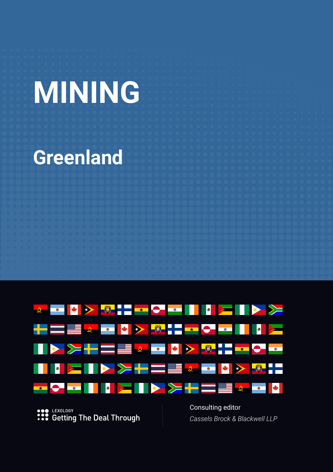# **MINING**

# **Greenland**



LEXOLOGY  $\frac{1}{100}$ **Getting The Deal Through**  Consulting editor *Cassels Brock & Blackwell LLP*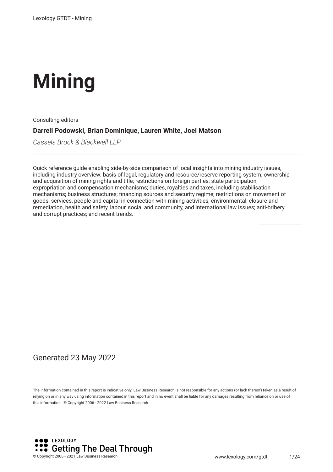# **Mining**

Consulting editors

#### **Darrell Podowski, Brian Dominique, Lauren White, Joel Matson**

*Cassels Brock & Blackwell LLP*

Quick reference guide enabling side-by-side comparison of local insights into mining industry issues, including industry overview; basis of legal, regulatory and resource/reserve reporting system; ownership and acquisition of mining rights and title; restrictions on foreign parties; state participation, expropriation and compensation mechanisms; duties, royalties and taxes, including stabilisation mechanisms; business structures; fnancing sources and security regime; restrictions on movement of goods, services, people and capital in connection with mining activities; environmental, closure and remediation, health and safety, labour, social and community, and international law issues; anti-bribery and corrupt practices; and recent trends.

#### Generated 23 May 2022

The information contained in this report is indicative only. Law Business Research is not responsible for any actions (or lack thereof) taken as a result of relying on or in any way using information contained in this report and in no event shall be liable for any damages resulting from reliance on or use of this information. © Copyright 2006 - 2022 Law Business Research

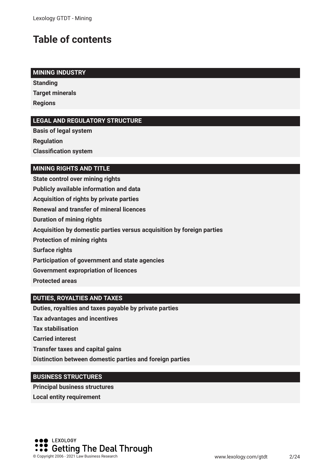## **Table of contents**

#### **MINING INDUSTRY**

**Standing Target minerals Regions**

#### **LEGAL AND REGULATORY STRUCTURE**

**Basis of legal system Regulation Classifcation system**

#### **MINING RIGHTS AND TITLE**

**State control over mining rights Publicly available information and data Acquisition of rights by private parties Renewal and transfer of mineral licences Duration of mining rights Acquisition by domestic parties versus acquisition by foreign parties Protection of mining rights Surface rights Participation of government and state agencies Government expropriation of licences Protected areas**

#### **DUTIES, ROYALTIES AND TAXES**

**Duties, royalties and taxes payable by private parties**

**Tax advantages and incentives**

**Tax stabilisation**

**Carried interest**

**Transfer taxes and capital gains**

**Distinction between domestic parties and foreign parties**

#### **BUSINESS STRUCTURES**

**Principal business structures Local entity requirement**

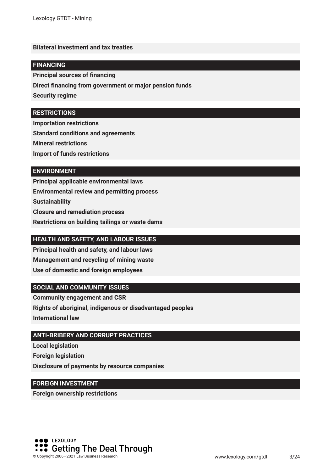#### **Bilateral investment and tax treaties**

#### **FINANCING**

**Principal sources of fnancing**

**Direct fnancing from government or major pension funds**

**Security regime**

#### **RESTRICTIONS**

**Importation restrictions**

**Standard conditions and agreements**

**Mineral restrictions**

**Import of funds restrictions**

#### **ENVIRONMENT**

**Principal applicable environmental laws Environmental review and permitting process Sustainability Closure and remediation process Restrictions on building tailings or waste dams**

#### **HEALTH AND SAFETY, AND LABOUR ISSUES**

**Principal health and safety, and labour laws Management and recycling of mining waste Use of domestic and foreign employees**

#### **SOCIAL AND COMMUNITY ISSUES**

**Community engagement and CSR Rights of aboriginal, indigenous or disadvantaged peoples**

**International law**

#### **ANTI-BRIBERY AND CORRUPT PRACTICES**

**Local legislation Foreign legislation Disclosure of payments by resource companies**

#### **FOREIGN INVESTMENT**

**Foreign ownership restrictions**

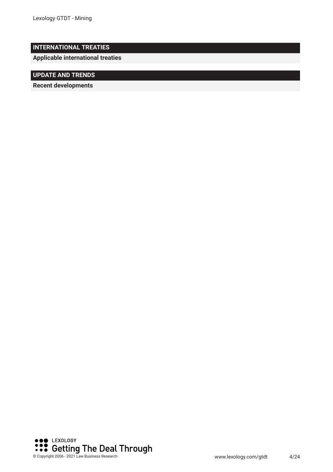#### **INTERNATIONAL TREATIES**

**Applicable international treaties**

#### **UPDATE AND TRENDS**

**Recent developments** 

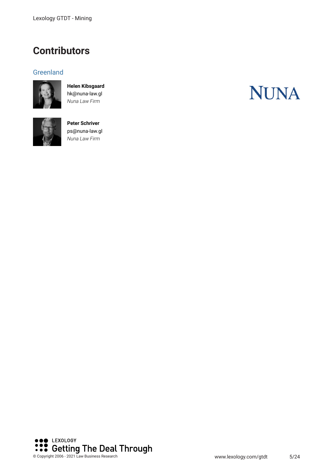### **Contributors**

#### **Greenland**



**Helen Kibsgaard** hk@nuna-law.gl *Nuna Law Firm*



**Peter Schriver** ps@nuna-law.gl *Nuna Law Firm*



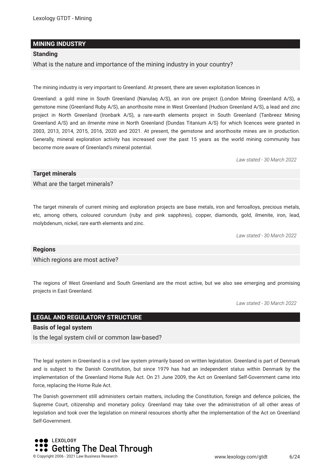#### **MINING INDUSTRY**

#### **Standing**

What is the nature and importance of the mining industry in your country?

The mining industry is very important to Greenland. At present, there are seven exploitation licences in

Greenland: a gold mine in South Greenland (Nanulaq A/S), an iron ore project (London Mining Greenland A/S), a gemstone mine (Greenland Ruby A/S), an anorthosite mine in West Greenland (Hudson Greenland A/S), a lead and zinc project in North Greenland (Ironbark A/S), a rare-earth elements project in South Greenland (Tanbreez Mining Greenland A/S) and an ilmenite mine in North Greenland (Dundas Titanium A/S) for which licences were granted in 2003, 2013, 2014, 2015, 2016, 2020 and 2021. At present, the gemstone and anorthosite mines are in production. Generally, mineral exploration activity has increased over the past 15 years as the world mining community has become more aware of Greenland's mineral potential.

*Law stated - 30 March 2022*

#### **Target minerals**

What are the target minerals?

The target minerals of current mining and exploration projects are base metals, iron and ferroalloys, precious metals, etc, among others, coloured corundum (ruby and pink sapphires), copper, diamonds, gold, ilmenite, iron, lead, molybdenum, nickel, rare earth elements and zinc.

*Law stated - 30 March 2022*

#### **Regions**

Which regions are most active?

The regions of West Greenland and South Greenland are the most active, but we also see emerging and promising projects in East Greenland.

*Law stated - 30 March 2022*

#### **LEGAL AND REGULATORY STRUCTURE**

#### **Basis of legal system**

Is the legal system civil or common law-based?

The legal system in Greenland is a civil law system primarily based on written legislation. Greenland is part of Denmark and is subject to the Danish Constitution, but since 1979 has had an independent status within Denmark by the implementation of the Greenland Home Rule Act. On 21 June 2009, the Act on Greenland Self-Government came into force, replacing the Home Rule Act.

The Danish government still administers certain matters, including the Constitution, foreign and defence policies, the Supreme Court, citizenship and monetary policy. Greenland may take over the administration of all other areas of legislation and took over the legislation on mineral resources shortly after the implementation of the Act on Greenland Self-Government.

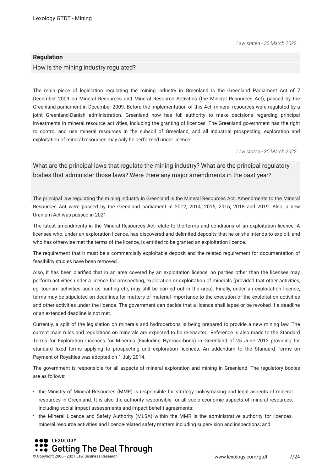*Law stated - 30 March 2022*

#### **Regulation**

How is the mining industry regulated?

The main piece of legislation regulating the mining industry in Greenland is the Greenland Parliament Act of 7 December 2009 on Mineral Resources and Mineral Resource Activities (the Mineral Resources Act), passed by the Greenland parliament in December 2009. Before the implementation of this Act, mineral resources were regulated by a joint Greenland-Danish administration. Greenland now has full authority to make decisions regarding principal investments in mineral resource activities, including the granting of licences. The Greenland government has the right to control and use mineral resources in the subsoil of Greenland, and all industrial prospecting, exploration and exploitation of mineral resources may only be performed under licence.

*Law stated - 30 March 2022*

What are the principal laws that regulate the mining industry? What are the principal regulatory bodies that administer those laws? Were there any major amendments in the past year?

The principal law regulating the mining industry in Greenland is the Mineral Resources Act. Amendments to the Mineral Resources Act were passed by the Greenland parliament in 2012, 2014, 2015, 2016, 2018 and 2019. Also, a new Uranium Act was passed in 2021.

The latest amendments in the Mineral Resources Act relate to the terms and conditions of an exploitation licence. A licensee who, under an exploration licence, has discovered and delimited deposits that he or she intends to exploit, and who has otherwise met the terms of the licence, is entitled to be granted an exploitation licence.

The requirement that it must be a commercially exploitable deposit and the related requirement for documentation of feasibility studies have been removed.

Also, it has been clarifed that in an area covered by an exploitation licence, no parties other than the licensee may perform activities under a licence for prospecting, exploration or exploitation of minerals (provided that other activities, eg, tourism activities such as hunting etc, may still be carried out in the area). Finally, under an exploitation licence, terms may be stipulated on deadlines for matters of material importance to the execution of the exploitation activities and other activities under the licence. The government can decide that a licence shall lapse or be revoked if a deadline or an extended deadline is not met.

Currently, a split of the legislation on minerals and hydrocarbons is being prepared to provide a new mining law. The current main rules and regulations on minerals are expected to be re-enacted. Reference is also made to the Standard Terms for Exploration Licences for Minerals (Excluding Hydrocarbons) in Greenland of 25 June 2013 providing for standard fxed terms applying to prospecting and exploration licences. An addendum to the Standard Terms on Payment of Royalties was adopted on 1 July 2014.

The government is responsible for all aspects of mineral exploration and mining in Greenland. The regulatory bodies are as follows:

- the Ministry of Mineral Resources (MMR) is responsible for strategy, policymaking and legal aspects of mineral resources in Greenland. It is also the authority responsible for all socio-economic aspects of mineral resources, including social impact assessments and impact beneft agreements;
- the Mineral Licence and Safety Authority (MLSA) within the MMR is the administrative authority for licences, mineral resource activities and licence-related safety matters including supervision and inspections; and

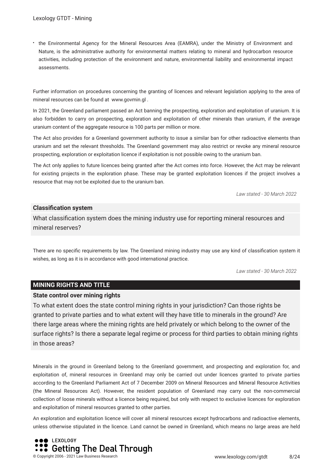the Environmental Agency for the Mineral Resources Area (EAMRA), under the Ministry of Environment and Nature, is the administrative authority for environmental matters relating to mineral and hydrocarbon resource activities, including protection of the environment and nature, environmental liability and environmental impact assessments.

Further information on procedures concerning the granting of licences and relevant legislation applying to the area of mineral resources can be found at www.govmin.gl .

In 2021, the Greenland parliament passed an Act banning the prospecting, exploration and exploitation of uranium. It is also forbidden to carry on prospecting, exploration and exploitation of other minerals than uranium, if the average uranium content of the aggregate resource is 100 parts per million or more.

The Act also provides for a Greenland government authority to issue a similar ban for other radioactive elements than uranium and set the relevant thresholds. The Greenland government may also restrict or revoke any mineral resource prospecting, exploration or exploitation licence if exploitation is not possible owing to the uranium ban.

The Act only applies to future licences being granted after the Act comes into force. However, the Act may be relevant for existing projects in the exploration phase. These may be granted exploitation licences if the project involves a resource that may not be exploited due to the uranium ban.

*Law stated - 30 March 2022*

#### **Classifcation system**

What classifcation system does the mining industry use for reporting mineral resources and mineral reserves?

There are no specifc requirements by law. The Greenland mining industry may use any kind of classifcation system it wishes, as long as it is in accordance with good international practice.

*Law stated - 30 March 2022*

#### **MINING RIGHTS AND TITLE**

#### **State control over mining rights**

To what extent does the state control mining rights in your jurisdiction? Can those rights be granted to private parties and to what extent will they have title to minerals in the ground? Are there large areas where the mining rights are held privately or which belong to the owner of the surface rights? Is there a separate legal regime or process for third parties to obtain mining rights in those areas?

Minerals in the ground in Greenland belong to the Greenland government, and prospecting and exploration for, and exploitation of, mineral resources in Greenland may only be carried out under licences granted to private parties according to the Greenland Parliament Act of 7 December 2009 on Mineral Resources and Mineral Resource Activities (the Mineral Resources Act). However, the resident population of Greenland may carry out the non-commercial collection of loose minerals without a licence being required, but only with respect to exclusive licences for exploration and exploitation of mineral resources granted to other parties.

An exploration and exploitation licence will cover all mineral resources except hydrocarbons and radioactive elements, unless otherwise stipulated in the licence. Land cannot be owned in Greenland, which means no large areas are held

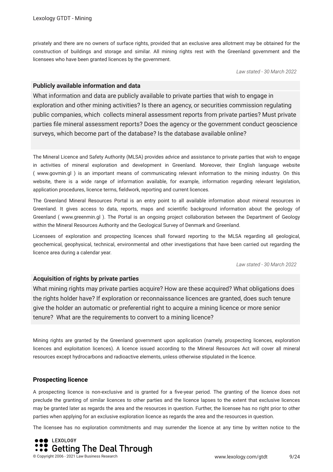privately and there are no owners of surface rights, provided that an exclusive area allotment may be obtained for the construction of buildings and storage and similar. All mining rights rest with the Greenland government and the licensees who have been granted licences by the government.

*Law stated - 30 March 2022*

#### **Publicly available information and data**

What information and data are publicly available to private parties that wish to engage in exploration and other mining activities? Is there an agency, or securities commission regulating public companies, which collects mineral assessment reports from private parties? Must private parties fle mineral assessment reports? Does the agency or the government conduct geoscience surveys, which become part of the database? Is the database available online?

The Mineral Licence and Safety Authority (MLSA) provides advice and assistance to private parties that wish to engage in activities of mineral exploration and development in Greenland. Moreover, their English language website ( www.govmin.gl ) is an important means of communicating relevant information to the mining industry. On this website, there is a wide range of information available, for example, information regarding relevant legislation, application procedures, licence terms, feldwork, reporting and current licences.

The Greenland Mineral Resources Portal is an entry point to all available information about mineral resources in Greenland. It gives access to data, reports, maps and scientifc background information about the geology of Greenland ( www.greenmin.gl ). The Portal is an ongoing project collaboration between the Department of Geology within the Mineral Resources Authority and the Geological Survey of Denmark and Greenland.

Licensees of exploration and prospecting licences shall forward reporting to the MLSA regarding all geological, geochemical, geophysical, technical, environmental and other investigations that have been carried out regarding the licence area during a calendar year.

*Law stated - 30 March 2022*

#### **Acquisition of rights by private parties**

What mining rights may private parties acquire? How are these acquired? What obligations does the rights holder have? If exploration or reconnaissance licences are granted, does such tenure give the holder an automatic or preferential right to acquire a mining licence or more senior tenure? What are the requirements to convert to a mining licence?

Mining rights are granted by the Greenland government upon application (namely, prospecting licences, exploration licences and exploitation licences). A licence issued according to the Mineral Resources Act will cover all mineral resources except hydrocarbons and radioactive elements, unless otherwise stipulated in the licence.

#### **Prospecting licence**

A prospecting licence is non-exclusive and is granted for a fve-year period. The granting of the licence does not preclude the granting of similar licences to other parties and the licence lapses to the extent that exclusive licences may be granted later as regards the area and the resources in question. Further, the licensee has no right prior to other parties when applying for an exclusive exploration licence as regards the area and the resources in question.

The licensee has no exploration commitments and may surrender the licence at any time by written notice to the

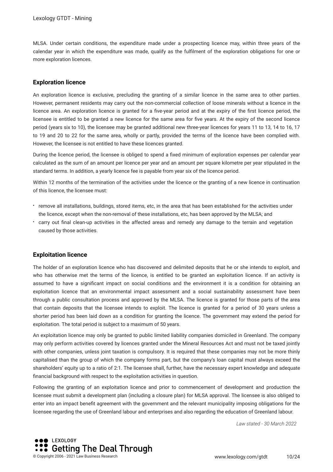MLSA. Under certain conditions, the expenditure made under a prospecting licence may, within three years of the calendar year in which the expenditure was made, qualify as the fulflment of the exploration obligations for one or more exploration licences.

#### **Exploration licence**

An exploration licence is exclusive, precluding the granting of a similar licence in the same area to other parties. However, permanent residents may carry out the non-commercial collection of loose minerals without a licence in the licence area. An exploration licence is granted for a fve-year period and at the expiry of the frst licence period, the licensee is entitled to be granted a new licence for the same area for fve years. At the expiry of the second licence period (years six to 10), the licensee may be granted additional new three-year licences for years 11 to 13, 14 to 16, 17 to 19 and 20 to 22 for the same area, wholly or partly, provided the terms of the licence have been complied with. However, the licensee is not entitled to have these licences granted.

During the licence period, the licensee is obliged to spend a fxed minimum of exploration expenses per calendar year calculated as the sum of an amount per licence per year and an amount per square kilometre per year stipulated in the standard terms. In addition, a yearly licence fee is payable from year six of the licence period.

Within 12 months of the termination of the activities under the licence or the granting of a new licence in continuation of this licence, the licensee must:

- remove all installations, buildings, stored items, etc, in the area that has been established for the activities under the licence, except when the non-removal of these installations, etc, has been approved by the MLSA; and
- carry out fnal clean-up activities in the affected areas and remedy any damage to the terrain and vegetation caused by those activities.

#### **Exploitation licence**

The holder of an exploration licence who has discovered and delimited deposits that he or she intends to exploit, and who has otherwise met the terms of the licence, is entitled to be granted an exploitation licence. If an activity is assumed to have a signifcant impact on social conditions and the environment it is a condition for obtaining an exploitation licence that an environmental impact assessment and a social sustainability assessment have been through a public consultation process and approved by the MLSA. The licence is granted for those parts of the area that contain deposits that the licensee intends to exploit. The licence is granted for a period of 30 years unless a shorter period has been laid down as a condition for granting the licence. The government may extend the period for exploitation. The total period is subject to a maximum of 50 years.

An exploitation licence may only be granted to public limited liability companies domiciled in Greenland. The company may only perform activities covered by licences granted under the Mineral Resources Act and must not be taxed jointly with other companies, unless joint taxation is compulsory. It is required that these companies may not be more thinly capitalised than the group of which the company forms part, but the company's loan capital must always exceed the shareholders' equity up to a ratio of 2:1. The licensee shall, further, have the necessary expert knowledge and adequate fnancial background with respect to the exploitation activities in question.

Following the granting of an exploitation licence and prior to commencement of development and production the licensee must submit a development plan (including a closure plan) for MLSA approval. The licensee is also obliged to enter into an impact beneft agreement with the government and the relevant municipality imposing obligations for the licensee regarding the use of Greenland labour and enterprises and also regarding the education of Greenland labour.

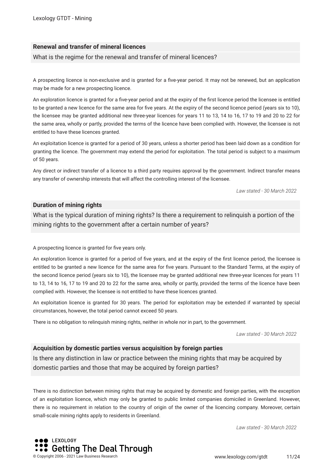#### **Renewal and transfer of mineral licences**

What is the regime for the renewal and transfer of mineral licences?

A prospecting licence is non-exclusive and is granted for a fve-year period. It may not be renewed, but an application may be made for a new prospecting licence.

An exploration licence is granted for a fve-year period and at the expiry of the frst licence period the licensee is entitled to be granted a new licence for the same area for fve years. At the expiry of the second licence period (years six to 10), the licensee may be granted additional new three-year licences for years 11 to 13, 14 to 16, 17 to 19 and 20 to 22 for the same area, wholly or partly, provided the terms of the licence have been complied with. However, the licensee is not entitled to have these licences granted.

An exploitation licence is granted for a period of 30 years, unless a shorter period has been laid down as a condition for granting the licence. The government may extend the period for exploitation. The total period is subject to a maximum of 50 years.

Any direct or indirect transfer of a licence to a third party requires approval by the government. Indirect transfer means any transfer of ownership interests that will affect the controlling interest of the licensee.

*Law stated - 30 March 2022*

#### **Duration of mining rights**

What is the typical duration of mining rights? Is there a requirement to relinquish a portion of the mining rights to the government after a certain number of years?

A prospecting licence is granted for fve years only.

An exploration licence is granted for a period of fve years, and at the expiry of the frst licence period, the licensee is entitled to be granted a new licence for the same area for fve years. Pursuant to the Standard Terms, at the expiry of the second licence period (years six to 10), the licensee may be granted additional new three-year licences for years 11 to 13, 14 to 16, 17 to 19 and 20 to 22 for the same area, wholly or partly, provided the terms of the licence have been complied with. However, the licensee is not entitled to have these licences granted.

An exploitation licence is granted for 30 years. The period for exploitation may be extended if warranted by special circumstances, however, the total period cannot exceed 50 years.

There is no obligation to relinquish mining rights, neither in whole nor in part, to the government.

*Law stated - 30 March 2022*

#### **Acquisition by domestic parties versus acquisition by foreign parties**

Is there any distinction in law or practice between the mining rights that may be acquired by domestic parties and those that may be acquired by foreign parties?

There is no distinction between mining rights that may be acquired by domestic and foreign parties, with the exception of an exploitation licence, which may only be granted to public limited companies domiciled in Greenland. However, there is no requirement in relation to the country of origin of the owner of the licencing company. Moreover, certain small-scale mining rights apply to residents in Greenland.

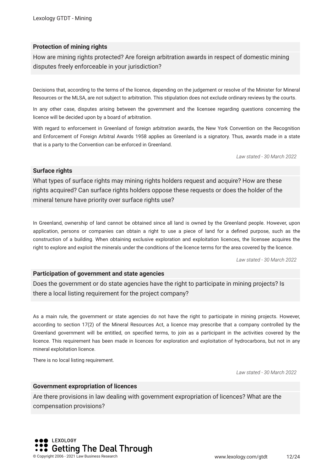#### **Protection of mining rights**

How are mining rights protected? Are foreign arbitration awards in respect of domestic mining disputes freely enforceable in your jurisdiction?

Decisions that, according to the terms of the licence, depending on the judgement or resolve of the Minister for Mineral Resources or the MLSA, are not subject to arbitration. This stipulation does not exclude ordinary reviews by the courts.

In any other case, disputes arising between the government and the licensee regarding questions concerning the licence will be decided upon by a board of arbitration.

With regard to enforcement in Greenland of foreign arbitration awards, the New York Convention on the Recognition and Enforcement of Foreign Arbitral Awards 1958 applies as Greenland is a signatory. Thus, awards made in a state that is a party to the Convention can be enforced in Greenland.

*Law stated - 30 March 2022*

#### **Surface rights**

What types of surface rights may mining rights holders request and acquire? How are these rights acquired? Can surface rights holders oppose these requests or does the holder of the mineral tenure have priority over surface rights use?

In Greenland, ownership of land cannot be obtained since all land is owned by the Greenland people. However, upon application, persons or companies can obtain a right to use a piece of land for a defned purpose, such as the construction of a building. When obtaining exclusive exploration and exploitation licences, the licensee acquires the right to explore and exploit the minerals under the conditions of the licence terms for the area covered by the licence.

*Law stated - 30 March 2022*

#### **Participation of government and state agencies**

Does the government or do state agencies have the right to participate in mining projects? Is there a local listing requirement for the project company?

As a main rule, the government or state agencies do not have the right to participate in mining projects. However, according to section 17(2) of the Mineral Resources Act, a licence may prescribe that a company controlled by the Greenland government will be entitled, on specifed terms, to join as a participant in the activities covered by the licence. This requirement has been made in licences for exploration and exploitation of hydrocarbons, but not in any mineral exploitation licence.

There is no local listing requirement.

*Law stated - 30 March 2022*

#### **Government expropriation of licences**

Are there provisions in law dealing with government expropriation of licences? What are the compensation provisions?

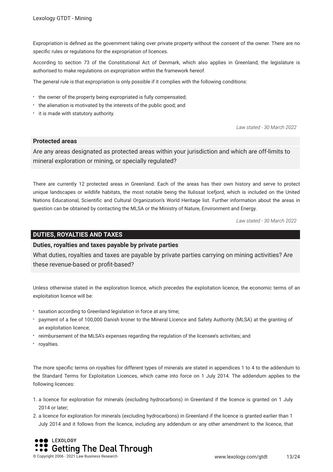Expropriation is defned as the government taking over private property without the consent of the owner. There are no specifc rules or regulations for the expropriation of licences.

According to section 73 of the Constitutional Act of Denmark, which also applies in Greenland, the legislature is authorised to make regulations on expropriation within the framework hereof.

The general rule is that expropriation is only possible if it complies with the following conditions:

- the owner of the property being expropriated is fully compensated;
- the alienation is motivated by the interests of the public good; and
- it is made with statutory authority.

*Law stated - 30 March 2022*

#### **Protected areas**

Are any areas designated as protected areas within your jurisdiction and which are off-limits to mineral exploration or mining, or specially regulated?

There are currently 12 protected areas in Greenland. Each of the areas has their own history and serve to protect unique landscapes or wildlife habitats, the most notable being the Ilulissat Icefjord, which is included on the United Nations Educational, Scientifc and Cultural Organization's World Heritage list. Further information about the areas in question can be obtained by contacting the MLSA or the Ministry of Nature, Environment and Energy.

*Law stated - 30 March 2022*

#### **DUTIES, ROYALTIES AND TAXES**

#### **Duties, royalties and taxes payable by private parties**

What duties, royalties and taxes are payable by private parties carrying on mining activities? Are these revenue-based or proft-based?

Unless otherwise stated in the exploration licence, which precedes the exploitation licence, the economic terms of an exploitation licence will be:

- \* taxation according to Greenland legislation in force at any time:
- payment of a fee of 100,000 Danish kroner to the Mineral Licence and Safety Authority (MLSA) at the granting of an exploitation licence;
- reimbursement of the MLSA's expenses regarding the regulation of the licensee's activities; and
- royalties.

The more specifc terms on royalties for different types of minerals are stated in appendices 1 to 4 to the addendum to the Standard Terms for Exploitation Licences, which came into force on 1 July 2014. The addendum applies to the following licences:

- 1. a licence for exploration for minerals (excluding hydrocarbons) in Greenland if the licence is granted on 1 July 2014 or later;
- 2. a licence for exploration for minerals (excluding hydrocarbons) in Greenland if the licence is granted earlier than 1 July 2014 and it follows from the licence, including any addendum or any other amendment to the licence, that

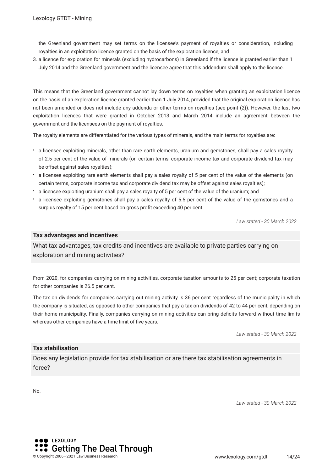the Greenland government may set terms on the licensee's payment of royalties or consideration, including royalties in an exploitation licence granted on the basis of the exploration licence; and

3. a licence for exploration for minerals (excluding hydrocarbons) in Greenland if the licence is granted earlier than 1 July 2014 and the Greenland government and the licensee agree that this addendum shall apply to the licence.

This means that the Greenland government cannot lay down terms on royalties when granting an exploitation licence on the basis of an exploration licence granted earlier than 1 July 2014, provided that the original exploration licence has not been amended or does not include any addenda or other terms on royalties (see point (2)). However, the last two exploitation licences that were granted in October 2013 and March 2014 include an agreement between the government and the licensees on the payment of royalties.

The royalty elements are differentiated for the various types of minerals, and the main terms for royalties are:

- a licensee exploiting minerals, other than rare earth elements, uranium and gemstones, shall pay a sales royalty of 2.5 per cent of the value of minerals (on certain terms, corporate income tax and corporate dividend tax may be offset against sales royalties);
- a licensee exploiting rare earth elements shall pay a sales royalty of 5 per cent of the value of the elements (on certain terms, corporate income tax and corporate dividend tax may be offset against sales royalties);
- a licensee exploiting uranium shall pay a sales royalty of 5 per cent of the value of the uranium; and
- a licensee exploiting gemstones shall pay a sales royalty of 5.5 per cent of the value of the gemstones and a surplus royalty of 15 per cent based on gross proft exceeding 40 per cent.

*Law stated - 30 March 2022*

#### **Tax advantages and incentives**

What tax advantages, tax credits and incentives are available to private parties carrying on exploration and mining activities?

From 2020, for companies carrying on mining activities, corporate taxation amounts to 25 per cent; corporate taxation for other companies is 26.5 per cent.

The tax on dividends for companies carrying out mining activity is 36 per cent regardless of the municipality in which the company is situated, as opposed to other companies that pay a tax on dividends of 42 to 44 per cent, depending on their home municipality. Finally, companies carrying on mining activities can bring deficits forward without time limits whereas other companies have a time limit of five years.

*Law stated - 30 March 2022*

#### **Tax stabilisation**

Does any legislation provide for tax stabilisation or are there tax stabilisation agreements in force?

No.

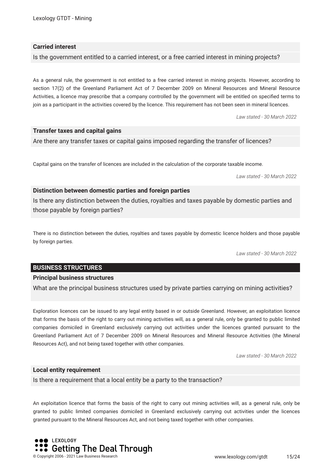#### **Carried interest**

Is the government entitled to a carried interest, or a free carried interest in mining projects?

As a general rule, the government is not entitled to a free carried interest in mining projects. However, according to section 17(2) of the Greenland Parliament Act of 7 December 2009 on Mineral Resources and Mineral Resource Activities, a licence may prescribe that a company controlled by the government will be entitled on specifed terms to join as a participant in the activities covered by the licence. This requirement has not been seen in mineral licences.

*Law stated - 30 March 2022*

#### **Transfer taxes and capital gains**

Are there any transfer taxes or capital gains imposed regarding the transfer of licences?

Capital gains on the transfer of licences are included in the calculation of the corporate taxable income.

*Law stated - 30 March 2022*

#### **Distinction between domestic parties and foreign parties**

Is there any distinction between the duties, royalties and taxes payable by domestic parties and those payable by foreign parties?

There is no distinction between the duties, royalties and taxes payable by domestic licence holders and those payable by foreign parties.

*Law stated - 30 March 2022*

#### **BUSINESS STRUCTURES**

#### **Principal business structures**

What are the principal business structures used by private parties carrying on mining activities?

Exploration licences can be issued to any legal entity based in or outside Greenland. However, an exploitation licence that forms the basis of the right to carry out mining activities will, as a general rule, only be granted to public limited companies domiciled in Greenland exclusively carrying out activities under the licences granted pursuant to the Greenland Parliament Act of 7 December 2009 on Mineral Resources and Mineral Resource Activities (the Mineral Resources Act), and not being taxed together with other companies.

*Law stated - 30 March 2022*

#### **Local entity requirement**

Is there a requirement that a local entity be a party to the transaction?

An exploitation licence that forms the basis of the right to carry out mining activities will, as a general rule, only be granted to public limited companies domiciled in Greenland exclusively carrying out activities under the licences granted pursuant to the Mineral Resources Act, and not being taxed together with other companies.

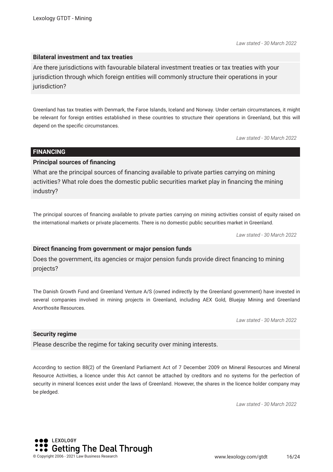*Law stated - 30 March 2022*

#### **Bilateral investment and tax treaties**

Are there jurisdictions with favourable bilateral investment treaties or tax treaties with your jurisdiction through which foreign entities will commonly structure their operations in your jurisdiction?

Greenland has tax treaties with Denmark, the Faroe Islands, Iceland and Norway. Under certain circumstances, it might be relevant for foreign entities established in these countries to structure their operations in Greenland, but this will depend on the specifc circumstances.

*Law stated - 30 March 2022*

#### **FINANCING**

#### **Principal sources of fnancing**

What are the principal sources of fnancing available to private parties carrying on mining activities? What role does the domestic public securities market play in fnancing the mining industry?

The principal sources of fnancing available to private parties carrying on mining activities consist of equity raised on the international markets or private placements. There is no domestic public securities market in Greenland.

*Law stated - 30 March 2022*

#### **Direct fnancing from government or major pension funds**

Does the government, its agencies or major pension funds provide direct fnancing to mining projects?

The Danish Growth Fund and Greenland Venture A/S (owned indirectly by the Greenland government) have invested in several companies involved in mining projects in Greenland, including AEX Gold, Bluejay Mining and Greenland Anorthosite Resources.

*Law stated - 30 March 2022*

#### **Security regime**

Please describe the regime for taking security over mining interests.

According to section 88(2) of the Greenland Parliament Act of 7 December 2009 on Mineral Resources and Mineral Resource Activities, a licence under this Act cannot be attached by creditors and no systems for the perfection of security in mineral licences exist under the laws of Greenland. However, the shares in the licence holder company may be pledged.

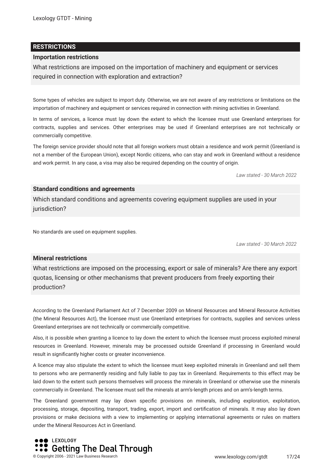#### **RESTRICTIONS**

#### **Importation restrictions**

What restrictions are imposed on the importation of machinery and equipment or services required in connection with exploration and extraction?

Some types of vehicles are subject to import duty. Otherwise, we are not aware of any restrictions or limitations on the importation of machinery and equipment or services required in connection with mining activities in Greenland.

In terms of services, a licence must lay down the extent to which the licensee must use Greenland enterprises for contracts, supplies and services. Other enterprises may be used if Greenland enterprises are not technically or commercially competitive.

The foreign service provider should note that all foreign workers must obtain a residence and work permit (Greenland is not a member of the European Union), except Nordic citizens, who can stay and work in Greenland without a residence and work permit. In any case, a visa may also be required depending on the country of origin.

*Law stated - 30 March 2022*

#### **Standard conditions and agreements**

Which standard conditions and agreements covering equipment supplies are used in your jurisdiction?

No standards are used on equipment supplies.

*Law stated - 30 March 2022*

#### **Mineral restrictions**

What restrictions are imposed on the processing, export or sale of minerals? Are there any export quotas, licensing or other mechanisms that prevent producers from freely exporting their production?

According to the Greenland Parliament Act of 7 December 2009 on Mineral Resources and Mineral Resource Activities (the Mineral Resources Act), the licensee must use Greenland enterprises for contracts, supplies and services unless Greenland enterprises are not technically or commercially competitive.

Also, it is possible when granting a licence to lay down the extent to which the licensee must process exploited mineral resources in Greenland. However, minerals may be processed outside Greenland if processing in Greenland would result in signifcantly higher costs or greater inconvenience.

A licence may also stipulate the extent to which the licensee must keep exploited minerals in Greenland and sell them to persons who are permanently residing and fully liable to pay tax in Greenland. Requirements to this effect may be laid down to the extent such persons themselves will process the minerals in Greenland or otherwise use the minerals commercially in Greenland. The licensee must sell the minerals at arm's-length prices and on arm's-length terms.

The Greenland government may lay down specifc provisions on minerals, including exploration, exploitation, processing, storage, depositing, transport, trading, export, import and certifcation of minerals. It may also lay down provisions or make decisions with a view to implementing or applying international agreements or rules on matters under the Mineral Resources Act in Greenland.

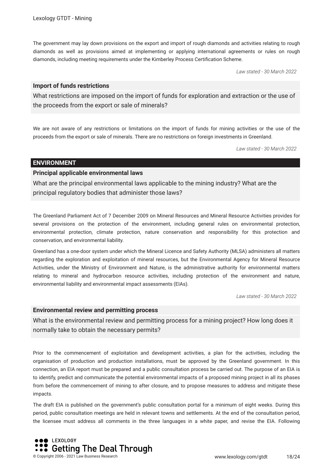The government may lay down provisions on the export and import of rough diamonds and activities relating to rough diamonds as well as provisions aimed at implementing or applying international agreements or rules on rough diamonds, including meeting requirements under the Kimberley Process Certifcation Scheme.

*Law stated - 30 March 2022*

#### **Import of funds restrictions**

What restrictions are imposed on the import of funds for exploration and extraction or the use of the proceeds from the export or sale of minerals?

We are not aware of any restrictions or limitations on the import of funds for mining activities or the use of the proceeds from the export or sale of minerals. There are no restrictions on foreign investments in Greenland.

*Law stated - 30 March 2022*

#### **ENVIRONMENT**

#### **Principal applicable environmental laws**

What are the principal environmental laws applicable to the mining industry? What are the principal regulatory bodies that administer those laws?

The Greenland Parliament Act of 7 December 2009 on Mineral Resources and Mineral Resource Activities provides for several provisions on the protection of the environment, including general rules on environmental protection, environmental protection, climate protection, nature conservation and responsibility for this protection and conservation, and environmental liability.

Greenland has a one-door system under which the Mineral Licence and Safety Authority (MLSA) administers all matters regarding the exploration and exploitation of mineral resources, but the Environmental Agency for Mineral Resource Activities, under the Ministry of Environment and Nature, is the administrative authority for environmental matters relating to mineral and hydrocarbon resource activities, including protection of the environment and nature, environmental liability and environmental impact assessments (EIAs).

*Law stated - 30 March 2022*

#### **Environmental review and permitting process**

What is the environmental review and permitting process for a mining project? How long does it normally take to obtain the necessary permits?

Prior to the commencement of exploitation and development activities, a plan for the activities, including the organisation of production and production installations, must be approved by the Greenland government. In this connection, an EIA report must be prepared and a public consultation process be carried out. The purpose of an EIA is to identify, predict and communicate the potential environmental impacts of a proposed mining project in all its phases from before the commencement of mining to after closure, and to propose measures to address and mitigate these impacts.

The draft EIA is published on the government's public consultation portal for a minimum of eight weeks. During this period, public consultation meetings are held in relevant towns and settlements. At the end of the consultation period, the licensee must address all comments in the three languages in a white paper, and revise the EIA. Following

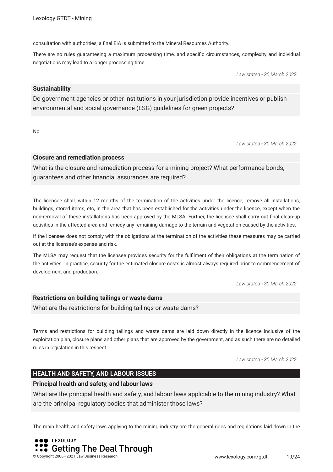consultation with authorities, a fnal EIA is submitted to the Mineral Resources Authority.

There are no rules guaranteeing a maximum processing time, and specifc circumstances, complexity and individual negotiations may lead to a longer processing time.

*Law stated - 30 March 2022*

#### **Sustainability**

Do government agencies or other institutions in your jurisdiction provide incentives or publish environmental and social governance (ESG) guidelines for green projects?

No.

*Law stated - 30 March 2022*

#### **Closure and remediation process**

What is the closure and remediation process for a mining project? What performance bonds, guarantees and other fnancial assurances are required?

The licensee shall, within 12 months of the termination of the activities under the licence, remove all installations, buildings, stored items, etc, in the area that has been established for the activities under the licence, except when the non-removal of these installations has been approved by the MLSA. Further, the licensee shall carry out fnal clean-up activities in the affected area and remedy any remaining damage to the terrain and vegetation caused by the activities.

If the licensee does not comply with the obligations at the termination of the activities these measures may be carried out at the licensee's expense and risk.

The MLSA may request that the licensee provides security for the fulflment of their obligations at the termination of the activities. In practice, security for the estimated closure costs is almost always required prior to commencement of development and production.

*Law stated - 30 March 2022*

#### **Restrictions on building tailings or waste dams**

What are the restrictions for building tailings or waste dams?

Terms and restrictions for building tailings and waste dams are laid down directly in the licence inclusive of the exploitation plan, closure plans and other plans that are approved by the government, and as such there are no detailed rules in legislation in this respect.

*Law stated - 30 March 2022*

#### **HEALTH AND SAFETY, AND LABOUR ISSUES**

#### **Principal health and safety, and labour laws**

What are the principal health and safety, and labour laws applicable to the mining industry? What are the principal regulatory bodies that administer those laws?

The main health and safety laws applying to the mining industry are the general rules and regulations laid down in the

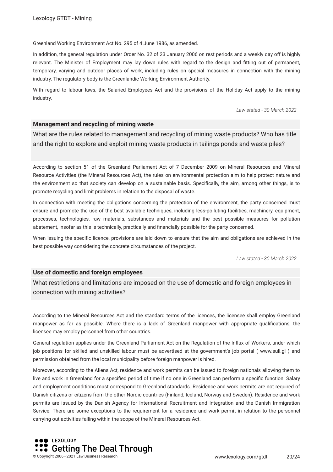#### Greenland Working Environment Act No. 295 of 4 June 1986, as amended.

In addition, the general regulation under Order No. 32 of 23 January 2006 on rest periods and a weekly day off is highly relevant. The Minister of Employment may lay down rules with regard to the design and ftting out of permanent, temporary, varying and outdoor places of work, including rules on special measures in connection with the mining industry. The regulatory body is the Greenlandic Working Environment Authority.

With regard to labour laws, the Salaried Employees Act and the provisions of the Holiday Act apply to the mining industry.

*Law stated - 30 March 2022*

#### **Management and recycling of mining waste**

What are the rules related to management and recycling of mining waste products? Who has title and the right to explore and exploit mining waste products in tailings ponds and waste piles?

According to section 51 of the Greenland Parliament Act of 7 December 2009 on Mineral Resources and Mineral Resource Activities (the Mineral Resources Act), the rules on environmental protection aim to help protect nature and the environment so that society can develop on a sustainable basis. Specifcally, the aim, among other things, is to promote recycling and limit problems in relation to the disposal of waste.

In connection with meeting the obligations concerning the protection of the environment, the party concerned must ensure and promote the use of the best available techniques, including less-polluting facilities, machinery, equipment, processes, technologies, raw materials, substances and materials and the best possible measures for pollution abatement, insofar as this is technically, practically and fnancially possible for the party concerned.

When issuing the specifc licence, provisions are laid down to ensure that the aim and obligations are achieved in the best possible way considering the concrete circumstances of the project.

*Law stated - 30 March 2022*

#### **Use of domestic and foreign employees**

What restrictions and limitations are imposed on the use of domestic and foreign employees in connection with mining activities?

According to the Mineral Resources Act and the standard terms of the licences, the licensee shall employ Greenland manpower as far as possible. Where there is a lack of Greenland manpower with appropriate qualifcations, the licensee may employ personnel from other countries.

General regulation applies under the Greenland Parliament Act on the Regulation of the Infux of Workers, under which job positions for skilled and unskilled labour must be advertised at the government's job portal ( www.suli.gl ) and permission obtained from the local municipality before foreign manpower is hired.

Moreover, according to the Aliens Act, residence and work permits can be issued to foreign nationals allowing them to live and work in Greenland for a specifed period of time if no one in Greenland can perform a specifc function. Salary and employment conditions must correspond to Greenland standards. Residence and work permits are not required of Danish citizens or citizens from the other Nordic countries (Finland, Iceland, Norway and Sweden). Residence and work permits are issued by the Danish Agency for International Recruitment and Integration and the Danish Immigration Service. There are some exceptions to the requirement for a residence and work permit in relation to the personnel carrying out activities falling within the scope of the Mineral Resources Act.

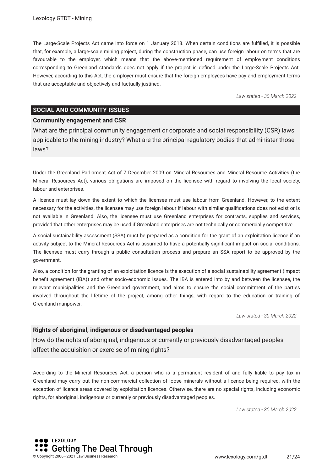The Large-Scale Projects Act came into force on 1 January 2013. When certain conditions are fulflled, it is possible that, for example, a large-scale mining project, during the construction phase, can use foreign labour on terms that are favourable to the employer, which means that the above-mentioned requirement of employment conditions corresponding to Greenland standards does not apply if the project is defned under the Large-Scale Projects Act. However, according to this Act, the employer must ensure that the foreign employees have pay and employment terms that are acceptable and objectively and factually justifed.

*Law stated - 30 March 2022*

#### **SOCIAL AND COMMUNITY ISSUES**

#### **Community engagement and CSR**

What are the principal community engagement or corporate and social responsibility (CSR) laws applicable to the mining industry? What are the principal regulatory bodies that administer those laws?

Under the Greenland Parliament Act of 7 December 2009 on Mineral Resources and Mineral Resource Activities (the Mineral Resources Act), various obligations are imposed on the licensee with regard to involving the local society, labour and enterprises.

A licence must lay down the extent to which the licensee must use labour from Greenland. However, to the extent necessary for the activities, the licensee may use foreign labour if labour with similar qualifcations does not exist or is not available in Greenland. Also, the licensee must use Greenland enterprises for contracts, supplies and services, provided that other enterprises may be used if Greenland enterprises are not technically or commercially competitive.

A social sustainability assessment (SSA) must be prepared as a condition for the grant of an exploitation licence if an activity subject to the Mineral Resources Act is assumed to have a potentially signifcant impact on social conditions. The licensee must carry through a public consultation process and prepare an SSA report to be approved by the government.

Also, a condition for the granting of an exploitation licence is the execution of a social sustainability agreement (impact beneft agreement (IBA)) and other socio-economic issues. The IBA is entered into by and between the licensee, the relevant municipalities and the Greenland government, and aims to ensure the social commitment of the parties involved throughout the lifetime of the project, among other things, with regard to the education or training of Greenland manpower.

*Law stated - 30 March 2022*

#### **Rights of aboriginal, indigenous or disadvantaged peoples**

How do the rights of aboriginal, indigenous or currently or previously disadvantaged peoples affect the acquisition or exercise of mining rights?

According to the Mineral Resources Act, a person who is a permanent resident of and fully liable to pay tax in Greenland may carry out the non-commercial collection of loose minerals without a licence being required, with the exception of licence areas covered by exploitation licences. Otherwise, there are no special rights, including economic rights, for aboriginal, indigenous or currently or previously disadvantaged peoples.

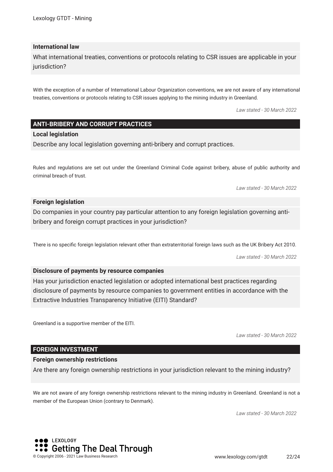#### **International law**

What international treaties, conventions or protocols relating to CSR issues are applicable in your jurisdiction?

With the exception of a number of International Labour Organization conventions, we are not aware of any international treaties, conventions or protocols relating to CSR issues applying to the mining industry in Greenland.

*Law stated - 30 March 2022*

#### **ANTI-BRIBERY AND CORRUPT PRACTICES**

#### **Local legislation**

Describe any local legislation governing anti-bribery and corrupt practices.

Rules and regulations are set out under the Greenland Criminal Code against bribery, abuse of public authority and criminal breach of trust.

*Law stated - 30 March 2022*

#### **Foreign legislation**

Do companies in your country pay particular attention to any foreign legislation governing antibribery and foreign corrupt practices in your jurisdiction?

There is no specifc foreign legislation relevant other than extraterritorial foreign laws such as the UK Bribery Act 2010.

*Law stated - 30 March 2022*

#### **Disclosure of payments by resource companies**

Has your jurisdiction enacted legislation or adopted international best practices regarding disclosure of payments by resource companies to government entities in accordance with the Extractive Industries Transparency Initiative (EITI) Standard?

Greenland is a supportive member of the EITI.

*Law stated - 30 March 2022*

#### **FOREIGN INVESTMENT**

#### **Foreign ownership restrictions**

Are there any foreign ownership restrictions in your jurisdiction relevant to the mining industry?

We are not aware of any foreign ownership restrictions relevant to the mining industry in Greenland. Greenland is not a member of the European Union (contrary to Denmark).

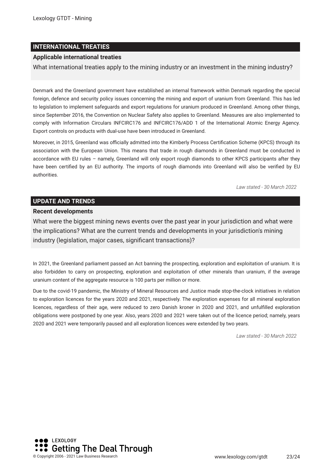#### **INTERNATIONAL TREATIES**

#### **Applicable international treaties**

What international treaties apply to the mining industry or an investment in the mining industry?

Denmark and the Greenland government have established an internal framework within Denmark regarding the special foreign, defence and security policy issues concerning the mining and export of uranium from Greenland. This has led to legislation to implement safeguards and export regulations for uranium produced in Greenland. Among other things, since September 2016, the Convention on Nuclear Safety also applies to Greenland. Measures are also implemented to comply with Information Circulars INFCIRC176 and INFCIRC176/ADD 1 of the International Atomic Energy Agency. Export controls on products with dual-use have been introduced in Greenland.

Moreover, in 2015, Greenland was officially admitted into the Kimberly Process Certification Scheme (KPCS) through its association with the European Union. This means that trade in rough diamonds in Greenland must be conducted in accordance with EU rules – namely, Greenland will only export rough diamonds to other KPCS participants after they have been certifed by an EU authority. The imports of rough diamonds into Greenland will also be verifed by EU authorities.

*Law stated - 30 March 2022*

#### **UPDATE AND TRENDS**

#### **Recent developments**

What were the biggest mining news events over the past year in your jurisdiction and what were the implications? What are the current trends and developments in your jurisdiction's mining industry (legislation, major cases, signifcant transactions)?

In 2021, the Greenland parliament passed an Act banning the prospecting, exploration and exploitation of uranium. It is also forbidden to carry on prospecting, exploration and exploitation of other minerals than uranium, if the average uranium content of the aggregate resource is 100 parts per million or more.

Due to the covid-19 pandemic, the Ministry of Mineral Resources and Justice made stop-the-clock initiatives in relation to exploration licences for the years 2020 and 2021, respectively. The exploration expenses for all mineral exploration licences, regardless of their age, were reduced to zero Danish kroner in 2020 and 2021, and unfulflled exploration obligations were postponed by one year. Also, years 2020 and 2021 were taken out of the licence period; namely, years 2020 and 2021 were temporarily paused and all exploration licences were extended by two years.